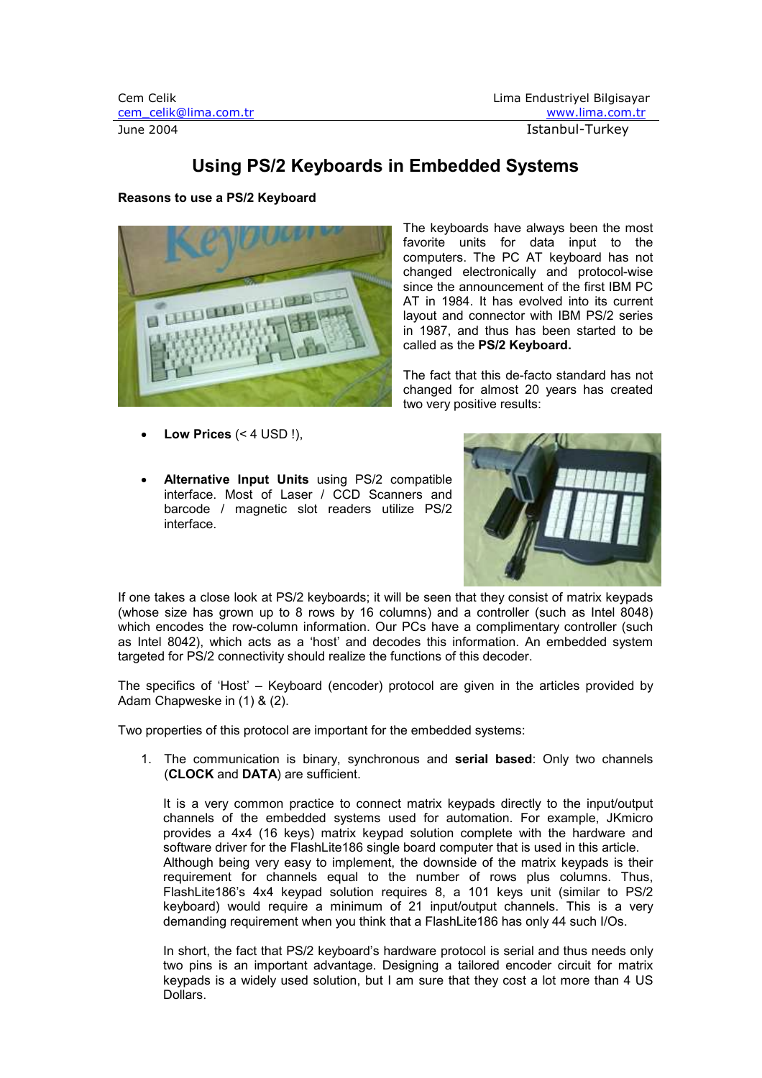# Using PS/2 Keyboards in Embedded Systems

# Reasons to use a PS/2 Keyboard



Low Prices  $( $4$  USD !).$ 

Alternative Input Units using PS/2 compatible interface. Most of Laser / CCD Scanners and barcode / magnetic slot readers utilize PS/2 interface.



If one takes a close look at PS/2 keyboards; it will be seen that they consist of matrix keypads (whose size has grown up to 8 rows by 16 columns) and a controller (such as Intel 8048) which encodes the row-column information. Our PCs have a complimentary controller (such as Intel 8042), which acts as a 'host' and decodes this information. An embedded system targeted for PS/2 connectivity should realize the functions of this decoder.

The specifics of 'Host' – Keyboard (encoder) protocol are given in the articles provided by Adam Chapweske in (1) & (2).

Two properties of this protocol are important for the embedded systems:

1. The communication is binary, synchronous and serial based: Only two channels (CLOCK and DATA) are sufficient.

It is a very common practice to connect matrix keypads directly to the input/output channels of the embedded systems used for automation. For example, JKmicro provides a 4x4 (16 keys) matrix keypad solution complete with the hardware and software driver for the FlashLite186 single board computer that is used in this article. Although being very easy to implement, the downside of the matrix keypads is their requirement for channels equal to the number of rows plus columns. Thus, FlashLite186's 4x4 keypad solution requires 8, a 101 keys unit (similar to PS/2 keyboard) would require a minimum of 21 input/output channels. This is a very demanding requirement when you think that a FlashLite186 has only 44 such I/Os.

In short, the fact that PS/2 keyboard's hardware protocol is serial and thus needs only two pins is an important advantage. Designing a tailored encoder circuit for matrix keypads is a widely used solution, but I am sure that they cost a lot more than 4 US Dollars.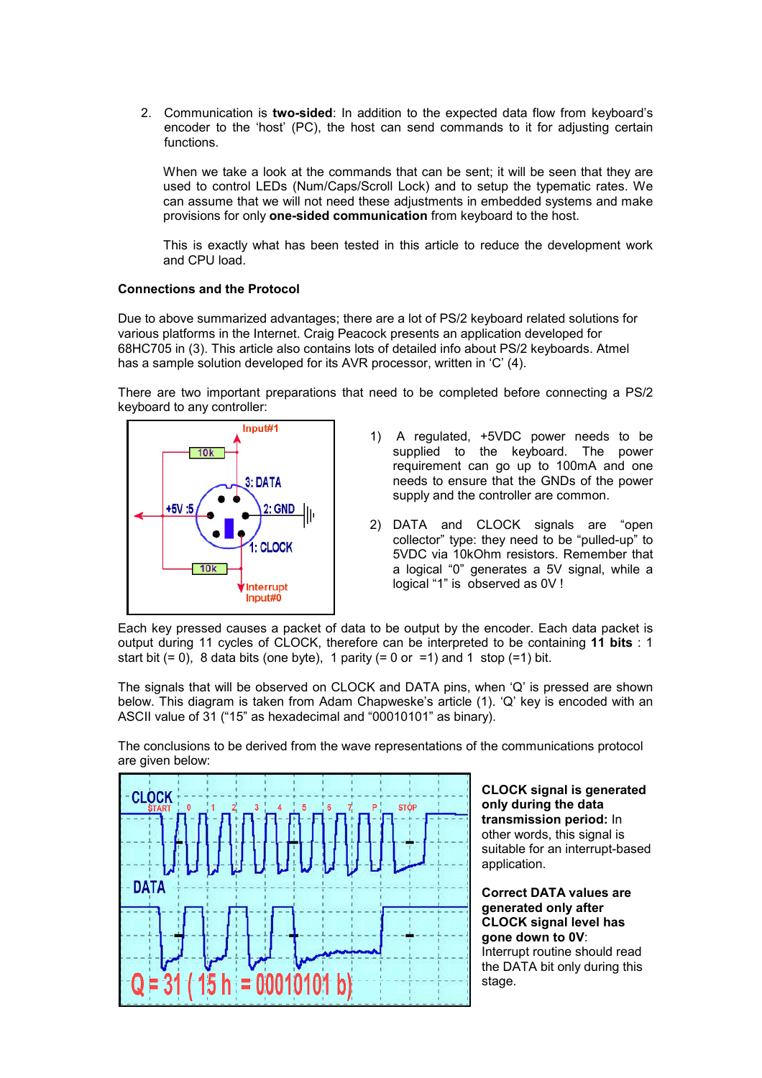2. Communication is two-sided: In addition to the expected data flow from keyboard's encoder to the 'host' (PC), the host can send commands to it for adjusting certain functions.

When we take a look at the commands that can be sent; it will be seen that they are used to control LEDs (Num/Caps/Scroll Lock) and to setup the typematic rates. We can assume that we will not need these adjustments in embedded systems and make provisions for only one-sided communication from keyboard to the host.

This is exactly what has been tested in this article to reduce the development work and CPU load.

### Connections and the Protocol

Due to above summarized advantages; there are a lot of PS/2 keyboard related solutions for various platforms in the Internet. Craig Peacock presents an application developed for 68HC705 in (3). This article also contains lots of detailed info about PS/2 keyboards. Atmel has a sample solution developed for its AVR processor, written in 'C' (4).

There are two important preparations that need to be completed before connecting a PS/2 keyboard to any controller:



- 1) A regulated, +5VDC power needs to be supplied to the keyboard. The power requirement can go up to 100mA and one needs to ensure that the GNDs of the power supply and the controller are common.
- 2) DATA and CLOCK signals are "open collector" type: they need to be "pulled-up" to 5VDC via 10kOhm resistors. Remember that a logical "0" generates a 5V signal, while a logical "1" is observed as 0V !

Each key pressed causes a packet of data to be output by the encoder. Each data packet is output during 11 cycles of CLOCK, therefore can be interpreted to be containing 11 bits : 1 start bit  $(= 0)$ , 8 data bits (one byte), 1 parity  $(= 0 \text{ or } = 1)$  and 1 stop  $(= 1)$  bit.

The signals that will be observed on CLOCK and DATA pins, when 'Q' is pressed are shown below. This diagram is taken from Adam Chapweske's article (1). 'Q' key is encoded with an ASCII value of 31 ("15" as hexadecimal and "00010101" as binary).

The conclusions to be derived from the wave representations of the communications protocol are given below:



CLOCK signal is generated only during the data transmission period: In other words, this signal is suitable for an interrupt-based application.

Correct DATA values are generated only after CLOCK signal level has gone down to 0V: Interrupt routine should read the DATA bit only during this stage.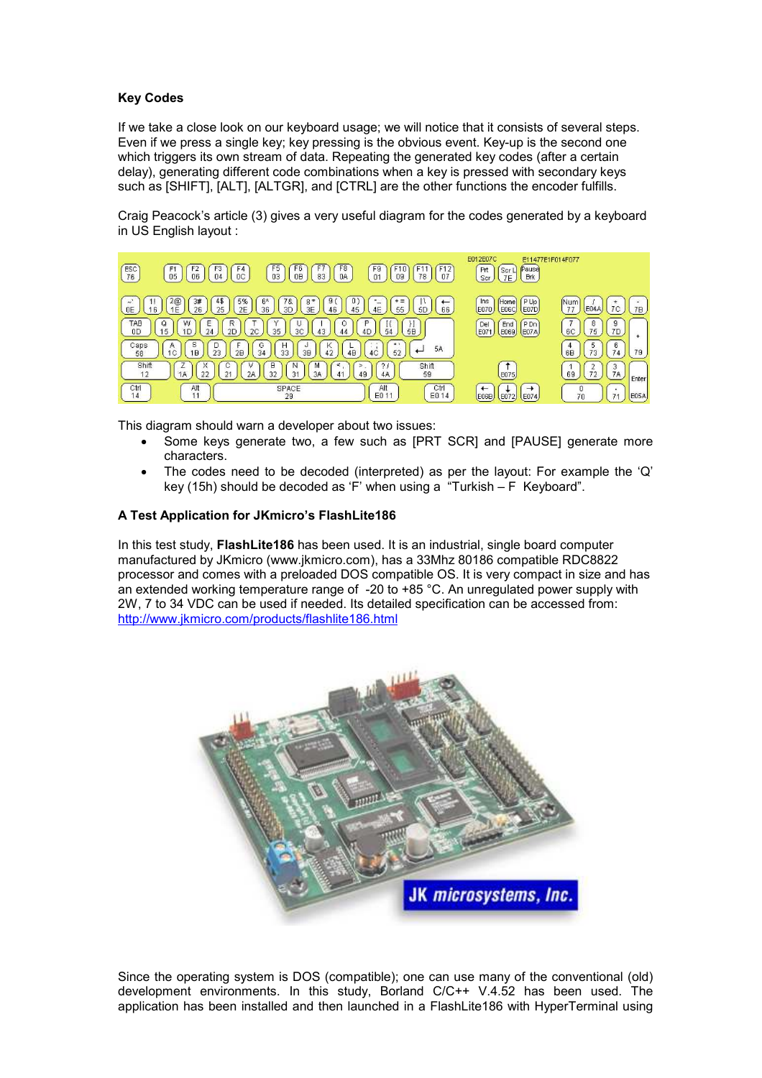# Key Codes

If we take a close look on our keyboard usage; we will notice that it consists of several steps. Even if we press a single key; key pressing is the obvious event. Key-up is the second one which triggers its own stream of data. Repeating the generated key codes (after a certain delay), generating different code combinations when a key is pressed with secondary keys such as [SHIFT], [ALT], [ALTGR], and [CTRL] are the other functions the encoder fulfills.

Craig Peacock's article (3) gives a very useful diagram for the codes generated by a keyboard in US English layout :



This diagram should warn a developer about two issues:

- Some keys generate two, a few such as [PRT SCR] and [PAUSE] generate more characters.
- The codes need to be decoded (interpreted) as per the layout: For example the 'Q' key (15h) should be decoded as 'F' when using a "Turkish – F Keyboard".

### A Test Application for JKmicro's FlashLite186

In this test study. FlashLite186 has been used. It is an industrial, single board computer manufactured by JKmicro (www.jkmicro.com), has a 33Mhz 80186 compatible RDC8822 processor and comes with a preloaded DOS compatible OS. It is very compact in size and has an extended working temperature range of -20 to +85 °C. An unregulated power supply with 2W, 7 to 34 VDC can be used if needed. Its detailed specification can be accessed from: http://www.jkmicro.com/products/flashlite186.html



Since the operating system is DOS (compatible); one can use many of the conventional (old) development environments. In this study, Borland C/C++ V.4.52 has been used. The application has been installed and then launched in a FlashLite186 with HyperTerminal using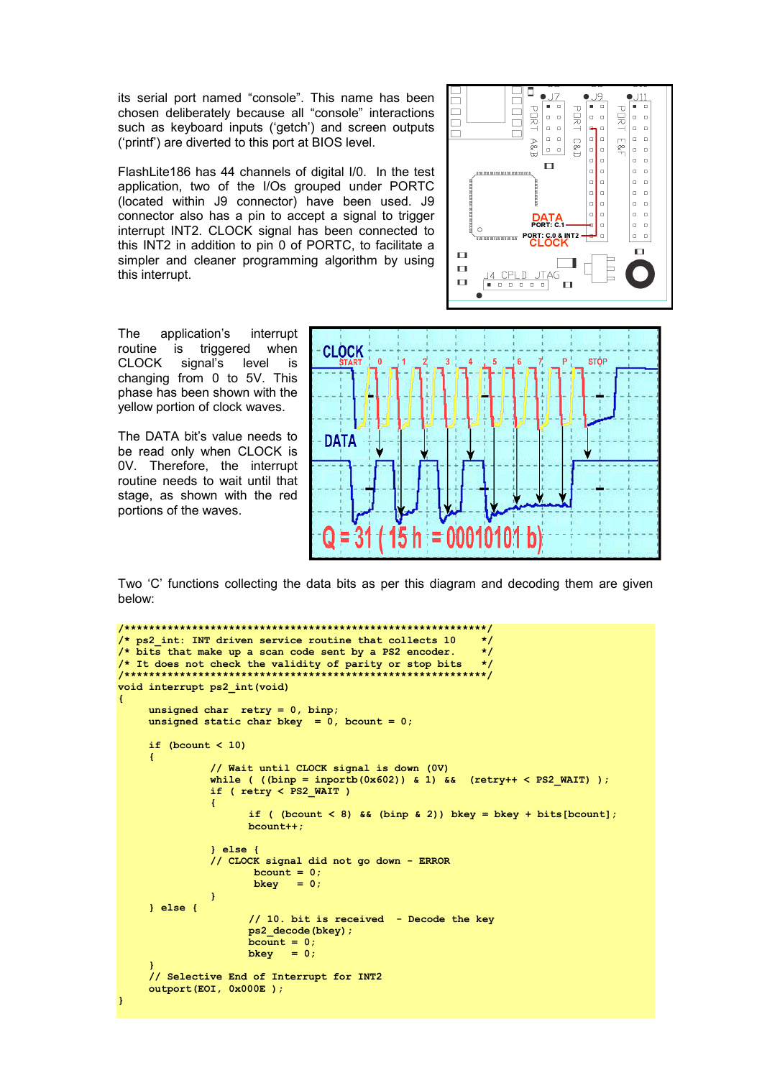its serial port named "console". This name has been chosen deliberately because all "console" interactions such as keyboard inputs ('getch') and screen outputs ('printf') are diverted to this port at BIOS level.

FlashLite186 has 44 channels of digital I/0. In the test application, two of the I/Os grouped under PORTC (located within J9 connector) have been used. J9 connector also has a pin to accept a signal to trigger interrupt INT2. CLOCK signal has been connected to this INT2 in addition to pin 0 of PORTC, to facilitate a simpler and cleaner programming algorithm by using this interrupt.



The application's interrupt routine is triggered when CLOCK signal's level is changing from 0 to 5V. This phase has been shown with the yellow portion of clock waves.

The DATA bit's value needs to be read only when CLOCK is 0V. Therefore, the interrupt routine needs to wait until that stage, as shown with the red portions of the waves.



Two 'C' functions collecting the data bits as per this diagram and decoding them are given below:

```
/***********************************************************/ 
/* ps2 int: INT driven service routine that collects 10
/* bits that make up a scan code sent by a PS2 encoder. */* It does not check the validity of parity or stop bits */
/***********************************************************/ 
void interrupt ps2_int(void) 
{ 
      unsigned char retry = 0, binp;
      unsigned static char bkey = 0, bcount = 0;
      if (bcount \langle 10 \rangle { 
                    // Wait until CLOCK signal is down (0V) 
                  while ( ((binp = inportb(0x602)) & 1) && (retry++ < PS2 WAIT) );
                   if ( retry < PS2_WAIT ) 
\mathcal{L}_{\mathcal{A}} and \mathcal{L}_{\mathcal{A}} and \mathcal{L}_{\mathcal{A}} and \mathcal{L}_{\mathcal{A}}if ( (bcount < 8) && (binp & 2) ) bkey = bkey + bits[bcount];
                           bcount++; 
                    } else { 
                    // CLOCK signal did not go down - ERROR 
                           bcount = 0;<br>bkey = 0:
                           bkey
and the state of the state of the
       } else { 
                            // 10. bit is received - Decode the key 
                           ps2_decode(bkey); 
                          bcount = 0;<br>hkey = 0;
                          bkey
\mathbb{R}^n \times \mathbb{R}^n // Selective End of Interrupt for INT2 
       outport(EOI, 0x000E ); 
\overline{ }
```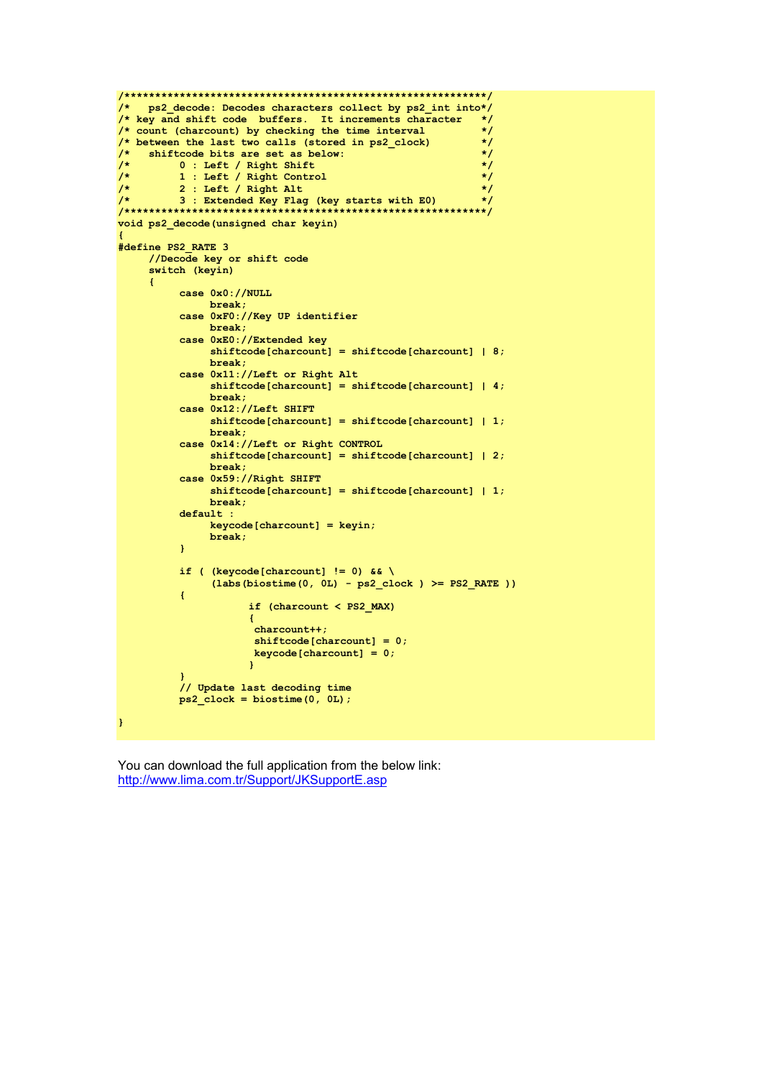```
/* ps2 decode: Decodes characters collect by ps2 int into*/
/* key and shift code buffers. It increments character
                                                              \star/
/\star count (charcount) by checking the time interval
                                                              \star/
/* between the last two calls (stored in ps2_clock)
                                                              \star//*
    shiftcode bits are set as below:
                                                              \star/\overline{1}0 : Left / Right Shift
                                                              \star/
          1 : Left / Right Control
\gamma\star/
/*
          2 : Left / Right Alt
                                                              \star//\star3 : Extended Key Flag (key starts with E0)
                                                              \star//**************************
                                     *********************
                                                             ***/void ps2 decode (unsigned char keyin)
#define PS2 RATE 3
     //Decode key or shift code
     switch (keyin)
     \overline{1}case 0x0://NULL
               break;
          case 0xF0://Key UP identifier
               break:
          case 0xE0://Extended key
                shiftcode[character] = shiftcode[character] | 8;break:
          case 0x11://Left or Right Alt
               shiftcode[character] = shiftcode[character] | 4;break;
          case 0x12://Left SHIFT
               shiftcode[character] = shiftcode[character] | 1;hreak\cdotcase 0x14://Left or Right CONTROL
                shiftcode[characteration] = shiftcode[characteration] | 2;break;
          case 0x59://Right SHIFT
                shiftcode[character] = shiftcode[character] | 1;break:
          default :
               keycode[character] = keyin;break;
          \mathbf{I}if ( (keycode[charcount] != 0) \& \
                (labs(biostime(0, 0L) - ps2 clock ) \ge PS2 RATE)
          \mathbf{f}if (charcount < PS2_MAX)
                      \overline{1}charcount++shiftcode[charcount] = 0;keycode[character1] = 0;\overline{1}// Update last decoding time
          ps2_{clock} = biostime(0, 0L);\mathbf{I}
```
You can download the full application from the below link: http://www.lima.com.tr/Support/JKSupportE.asp